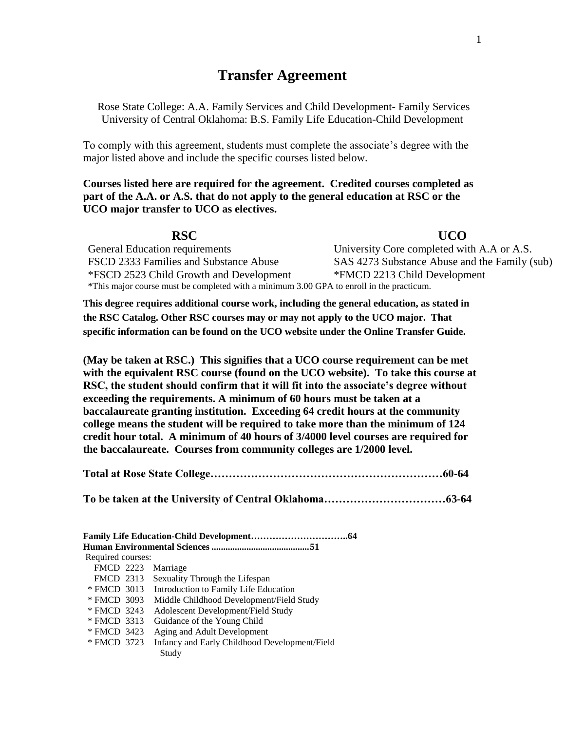# **Transfer Agreement**

Rose State College: A.A. Family Services and Child Development- Family Services University of Central Oklahoma: B.S. Family Life Education-Child Development

To comply with this agreement, students must complete the associate's degree with the major listed above and include the specific courses listed below.

**Courses listed here are required for the agreement. Credited courses completed as part of the A.A. or A.S. that do not apply to the general education at RSC or the UCO major transfer to UCO as electives.**

**RSC UCO** 

General Education requirements University Core completed with A.A or A.S. FSCD 2333 Families and Substance Abuse SAS 4273 Substance Abuse and the Family (sub) \*FSCD 2523 Child Growth and Development \*FMCD 2213 Child Development \*This major course must be completed with a minimum 3.00 GPA to enroll in the practicum.

**This degree requires additional course work, including the general education, as stated in the RSC Catalog. Other RSC courses may or may not apply to the UCO major. That specific information can be found on the UCO website under the Online Transfer Guide.**

**(May be taken at RSC.) This signifies that a UCO course requirement can be met with the equivalent RSC course (found on the UCO website). To take this course at RSC, the student should confirm that it will fit into the associate's degree without exceeding the requirements. A minimum of 60 hours must be taken at a baccalaureate granting institution. Exceeding 64 credit hours at the community college means the student will be required to take more than the minimum of 124 credit hour total. A minimum of 40 hours of 3/4000 level courses are required for the baccalaureate. Courses from community colleges are 1/2000 level.**

**Total at Rose State College………………………………………………………60-64**

**To be taken at the University of Central Oklahoma……………………………63-64**

| Required courses: |  |                                               |  |  |  |  |
|-------------------|--|-----------------------------------------------|--|--|--|--|
| <b>FMCD 2223</b>  |  | Marriage                                      |  |  |  |  |
| <b>FMCD 2313</b>  |  | Sexuality Through the Lifespan                |  |  |  |  |
| * FMCD 3013       |  | Introduction to Family Life Education         |  |  |  |  |
| * FMCD 3093       |  | Middle Childhood Development/Field Study      |  |  |  |  |
| * FMCD 3243       |  | Adolescent Development/Field Study            |  |  |  |  |
| * FMCD 3313       |  | Guidance of the Young Child                   |  |  |  |  |
| * FMCD 3423       |  | Aging and Adult Development                   |  |  |  |  |
| * FMCD 3723       |  | Infancy and Early Childhood Development/Field |  |  |  |  |
|                   |  | Study                                         |  |  |  |  |
|                   |  |                                               |  |  |  |  |